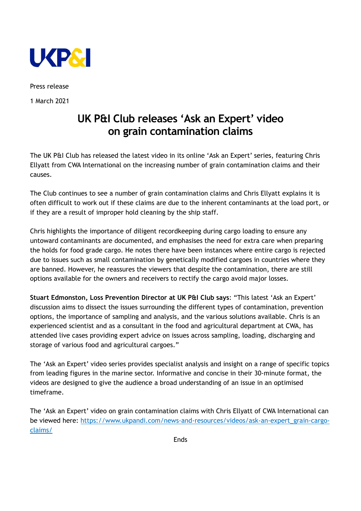

Press release

1 March 2021

## **UK P&I Club releases 'Ask an Expert' video on grain contamination claims**

The UK P&I Club has released the latest video in its online 'Ask an Expert' series, featuring Chris Ellyatt from CWA International on the increasing number of grain contamination claims and their causes.

The Club continues to see a number of grain contamination claims and Chris Ellyatt explains it is often difficult to work out if these claims are due to the inherent contaminants at the load port, or if they are a result of improper hold cleaning by the ship staff.

Chris highlights the importance of diligent recordkeeping during cargo loading to ensure any untoward contaminants are documented, and emphasises the need for extra care when preparing the holds for food grade cargo. He notes there have been instances where entire cargo is rejected due to issues such as small contamination by genetically modified cargoes in countries where they are banned. However, he reassures the viewers that despite the contamination, there are still options available for the owners and receivers to rectify the cargo avoid major losses.

**Stuart Edmonston, Loss Prevention Director at UK P&I Club says**: "This latest 'Ask an Expert' discussion aims to dissect the issues surrounding the different types of contamination, prevention options, the importance of sampling and analysis, and the various solutions available. Chris is an experienced scientist and as a consultant in the food and agricultural department at CWA, has attended live cases providing expert advice on issues across sampling, loading, discharging and storage of various food and agricultural cargoes."

The 'Ask an Expert' video series provides specialist analysis and insight on a range of specific topics from leading figures in the marine sector. Informative and concise in their 30-minute format, the videos are designed to give the audience a broad understanding of an issue in an optimised timeframe.

The 'Ask an Expert' video on grain contamination claims with Chris Ellyatt of CWA International can be viewed here: [https://www.ukpandi.com/news-and-resources/videos/ask-an-expert\\_grain-cargo](https://protect-eu.mimecast.com/s/5R_rCqYMTXB1YBCZnfIj?domain=ukpandi.com/)[claims/](https://protect-eu.mimecast.com/s/5R_rCqYMTXB1YBCZnfIj?domain=ukpandi.com/)